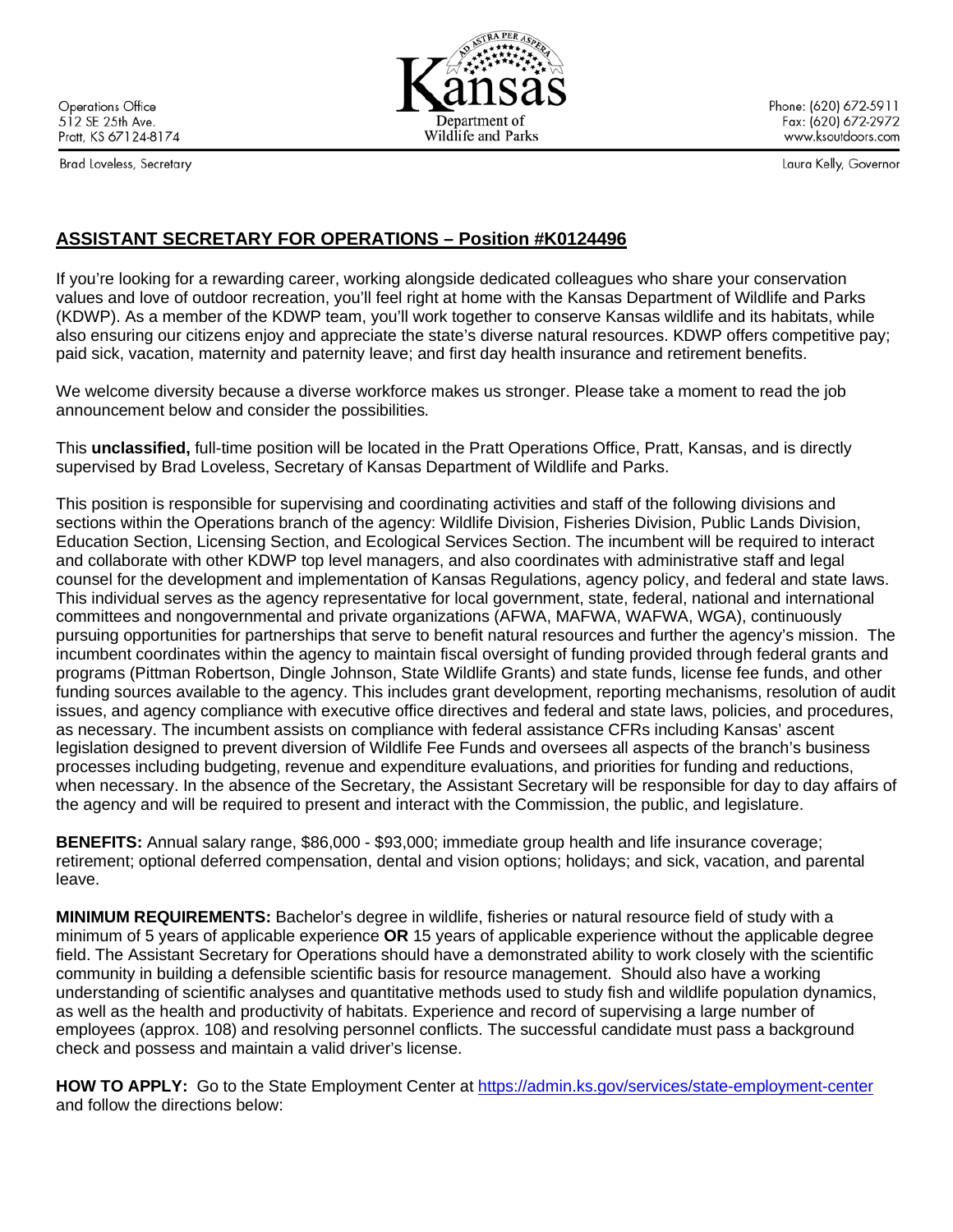**Operations Office** 512 SE 25th Ave. Pratt, KS 67124-8174

Brad Loveless, Secretary

Phone: (620) 672-5911 Fax: (620) 672-2972 www.ksoutdoors.com

Laura Kelly, Governor

## **ASSISTANT SECRETARY FOR OPERATIONS – Position #K0124496**

If you're looking for a rewarding career, working alongside dedicated colleagues who share your conservation values and love of outdoor recreation, you'll feel right at home with the Kansas Department of Wildlife and Parks (KDWP). As a member of the KDWP team, you'll work together to conserve Kansas wildlife and its habitats, while also ensuring our citizens enjoy and appreciate the state's diverse natural resources. KDWP offers competitive pay; paid sick, vacation, maternity and paternity leave; and first day health insurance and retirement benefits.

We welcome diversity because a diverse workforce makes us stronger. Please take a moment to read the job announcement below and consider the possibilities*.*

This **unclassified,** full-time position will be located in the Pratt Operations Office, Pratt, Kansas, and is directly supervised by Brad Loveless, Secretary of Kansas Department of Wildlife and Parks.

This position is responsible for supervising and coordinating activities and staff of the following divisions and sections within the Operations branch of the agency: Wildlife Division, Fisheries Division, Public Lands Division, Education Section, Licensing Section, and Ecological Services Section. The incumbent will be required to interact and collaborate with other KDWP top level managers, and also coordinates with administrative staff and legal counsel for the development and implementation of Kansas Regulations, agency policy, and federal and state laws. This individual serves as the agency representative for local government, state, federal, national and international committees and nongovernmental and private organizations (AFWA, MAFWA, WAFWA, WGA), continuously pursuing opportunities for partnerships that serve to benefit natural resources and further the agency's mission. The incumbent coordinates within the agency to maintain fiscal oversight of funding provided through federal grants and programs (Pittman Robertson, Dingle Johnson, State Wildlife Grants) and state funds, license fee funds, and other funding sources available to the agency. This includes grant development, reporting mechanisms, resolution of audit issues, and agency compliance with executive office directives and federal and state laws, policies, and procedures, as necessary. The incumbent assists on compliance with federal assistance CFRs including Kansas' ascent legislation designed to prevent diversion of Wildlife Fee Funds and oversees all aspects of the branch's business processes including budgeting, revenue and expenditure evaluations, and priorities for funding and reductions, when necessary. In the absence of the Secretary, the Assistant Secretary will be responsible for day to day affairs of the agency and will be required to present and interact with the Commission, the public, and legislature.

**BENEFITS:** Annual salary range, \$86,000 - \$93,000; immediate group health and life insurance coverage; retirement; optional deferred compensation, dental and vision options; holidays; and sick, vacation, and parental leave.

**MINIMUM REQUIREMENTS:** Bachelor's degree in wildlife, fisheries or natural resource field of study with a minimum of 5 years of applicable experience **OR** 15 years of applicable experience without the applicable degree field. The Assistant Secretary for Operations should have a demonstrated ability to work closely with the scientific community in building a defensible scientific basis for resource management. Should also have a working understanding of scientific analyses and quantitative methods used to study fish and wildlife population dynamics, as well as the health and productivity of habitats. Experience and record of supervising a large number of employees (approx. 108) and resolving personnel conflicts. The successful candidate must pass a background check and possess and maintain a valid driver's license.

HOW TO APPLY: Go to the State Employment Center at<https://admin.ks.gov/services/state-employment-center> and follow the directions below: